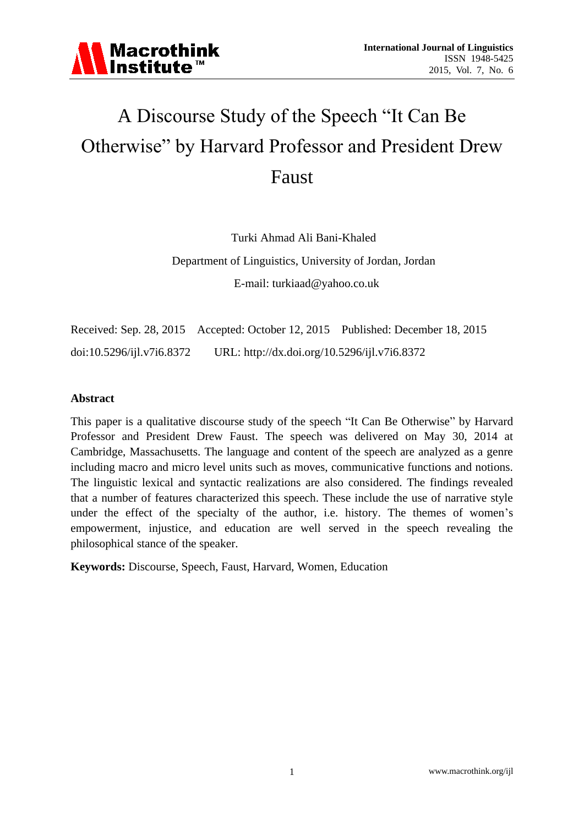

## A Discourse Study of the Speech "It Can Be Otherwise" by Harvard Professor and President Drew Faust

Turki Ahmad Ali Bani-Khaled

Department of Linguistics, University of Jordan, Jordan E-mail: turkiaad@yahoo.co.uk

Received: Sep. 28, 2015 Accepted: October 12, 2015 Published: December 18, 2015 doi:10.5296/ijl.v7i6.8372 URL: http://dx.doi.org/10.5296/ijl.v7i6.8372

#### **Abstract**

This paper is a qualitative discourse study of the speech "It Can Be Otherwise" by Harvard Professor and President Drew Faust. The speech was delivered on May 30, 2014 at Cambridge, Massachusetts. The language and content of the speech are analyzed as a genre including macro and micro level units such as moves, communicative functions and notions. The linguistic lexical and syntactic realizations are also considered. The findings revealed that a number of features characterized this speech. These include the use of narrative style under the effect of the specialty of the author, i.e. history. The themes of women's empowerment, injustice, and education are well served in the speech revealing the philosophical stance of the speaker.

**Keywords:** Discourse, Speech, Faust, Harvard, Women, Education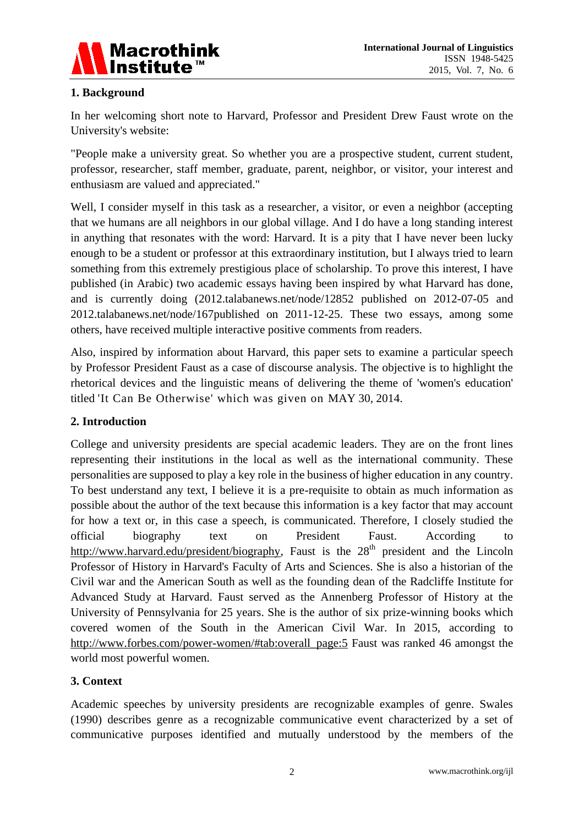

#### **1. Background**

In her welcoming short note to Harvard, Professor and President Drew Faust wrote on the University's website:

"People make a university great. So whether you are a prospective student, current student, professor, researcher, staff member, graduate, parent, neighbor, or visitor, your interest and enthusiasm are valued and appreciated."

Well, I consider myself in this task as a researcher, a visitor, or even a neighbor (accepting that we humans are all neighbors in our global village. And I do have a long standing interest in anything that resonates with the word: Harvard. It is a pity that I have never been lucky enough to be a student or professor at this extraordinary institution, but I always tried to learn something from this extremely prestigious place of scholarship. To prove this interest, I have published (in Arabic) two academic essays having been inspired by what Harvard has done, and is currently doing (2012.talabanews.net/node/12852 published on 2012-07-05 and 2012.talabanews.net/node/167published on 2011-12-25. These two essays, among some others, have received multiple interactive positive comments from readers.

Also, inspired by information about Harvard, this paper sets to examine a particular speech by Professor President Faust as a case of discourse analysis. The objective is to highlight the rhetorical devices and the linguistic means of delivering the theme of 'women's education' titled 'It Can Be Otherwise' which was given on MAY 30, 2014.

#### **2. Introduction**

College and university presidents are special academic leaders. They are on the front lines representing their institutions in the local as well as the international community. These personalities are supposed to play a key role in the business of higher education in any country. To best understand any text, I believe it is a pre-requisite to obtain as much information as possible about the author of the text because this information is a key factor that may account for how a text or, in this case a speech, is communicated. Therefore, I closely studied the official biography text on President Faust. According to [http://www.harvard.edu/president/biography,](http://www.harvard.edu/president/biography) Faust is the 28<sup>th</sup> president and the Lincoln Professor of History in Harvard's Faculty of Arts and Sciences. She is also a historian of the Civil war and the American South as well as the founding dean of the Radcliffe Institute for Advanced Study at Harvard. Faust served as the Annenberg Professor of History at the University of Pennsylvania for 25 years. She is the author of six prize-winning books which covered women of the South in the American Civil War. In 2015, according to [http://www.forbes.com/power-women/#tab:overall\\_page:5](http://www.forbes.com/power-women/#tab:overall_page:5) Faust was ranked 46 amongst the world most powerful women.

#### **3. Context**

Academic speeches by university presidents are recognizable examples of genre. Swales (1990) describes genre as a recognizable communicative event characterized by a set of communicative purposes identified and mutually understood by the members of the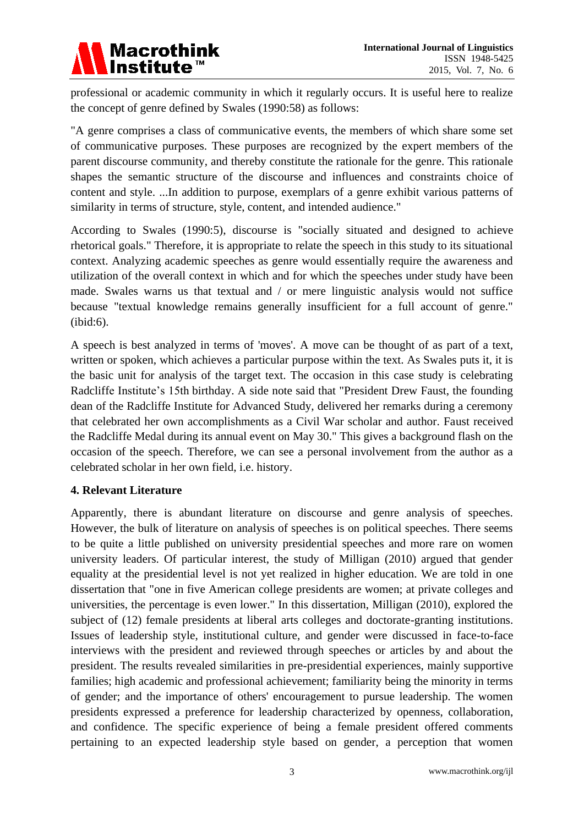

professional or academic community in which it regularly occurs. It is useful here to realize the concept of genre defined by Swales (1990:58) as follows:

"A genre comprises a class of communicative events, the members of which share some set of communicative purposes. These purposes are recognized by the expert members of the parent discourse community, and thereby constitute the rationale for the genre. This rationale shapes the semantic structure of the discourse and influences and constraints choice of content and style. ...In addition to purpose, exemplars of a genre exhibit various patterns of similarity in terms of structure, style, content, and intended audience."

According to Swales (1990:5), discourse is "socially situated and designed to achieve rhetorical goals." Therefore, it is appropriate to relate the speech in this study to its situational context. Analyzing academic speeches as genre would essentially require the awareness and utilization of the overall context in which and for which the speeches under study have been made. Swales warns us that textual and / or mere linguistic analysis would not suffice because "textual knowledge remains generally insufficient for a full account of genre." (ibid:6).

A speech is best analyzed in terms of 'moves'. A move can be thought of as part of a text, written or spoken, which achieves a particular purpose within the text. As Swales puts it, it is the basic unit for analysis of the target text. The occasion in this case study is celebrating Radcliffe Institute's 15th birthday. A side note said that "President Drew Faust, the founding dean of the Radcliffe Institute for Advanced Study, delivered her remarks during a ceremony that celebrated her own accomplishments as a Civil War scholar and author. Faust received the Radcliffe Medal during its annual event on May 30." This gives a background flash on the occasion of the speech. Therefore, we can see a personal involvement from the author as a celebrated scholar in her own field, i.e. history.

#### **4. Relevant Literature**

Apparently, there is abundant literature on discourse and genre analysis of speeches. However, the bulk of literature on analysis of speeches is on political speeches. There seems to be quite a little published on university presidential speeches and more rare on women university leaders. Of particular interest, the study of Milligan (2010) argued that gender equality at the presidential level is not yet realized in higher education. We are told in one dissertation that "one in five American college presidents are women; at private colleges and universities, the percentage is even lower." In this dissertation, Milligan (2010), explored the subject of (12) female presidents at liberal arts colleges and doctorate-granting institutions. Issues of leadership style, institutional culture, and gender were discussed in face-to-face interviews with the president and reviewed through speeches or articles by and about the president. The results revealed similarities in pre-presidential experiences, mainly supportive families; high academic and professional achievement; familiarity being the minority in terms of gender; and the importance of others' encouragement to pursue leadership. The women presidents expressed a preference for leadership characterized by openness, collaboration, and confidence. The specific experience of being a female president offered comments pertaining to an expected leadership style based on gender, a perception that women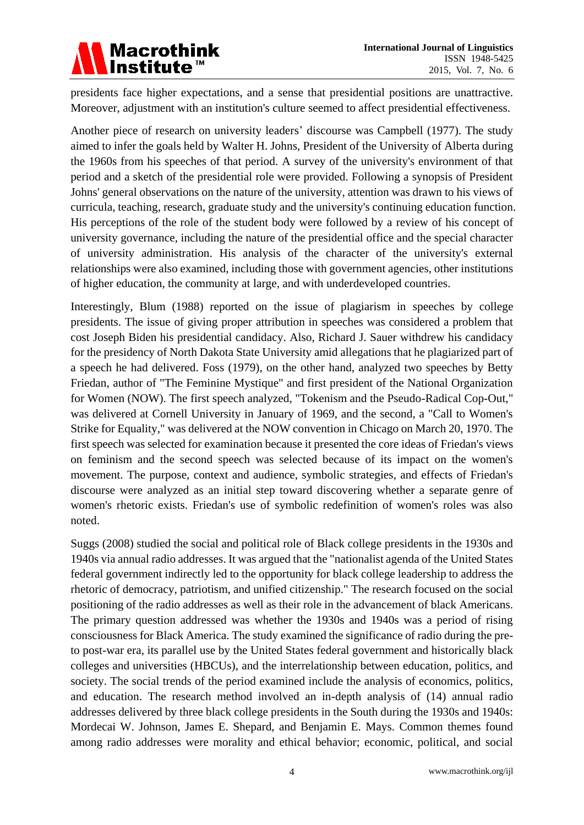# Macrothink<br>|Institute™

presidents face higher expectations, and a sense that presidential positions are unattractive. Moreover, adjustment with an institution's culture seemed to affect presidential effectiveness.

Another piece of research on university leaders' discourse was Campbell (1977). The study aimed to infer the goals held by Walter H. Johns, President of the University of Alberta during the 1960s from his speeches of that period. A survey of the university's environment of that period and a sketch of the presidential role were provided. Following a synopsis of President Johns' general observations on the nature of the university, attention was drawn to his views of curricula, teaching, research, graduate study and the university's continuing education function. His perceptions of the role of the student body were followed by a review of his concept of university governance, including the nature of the presidential office and the special character of university administration. His analysis of the character of the university's external relationships were also examined, including those with government agencies, other institutions of higher education, the community at large, and with underdeveloped countries.

Interestingly, Blum (1988) reported on the issue of plagiarism in speeches by college presidents. The issue of giving proper attribution in speeches was considered a problem that cost Joseph Biden his presidential candidacy. Also, Richard J. Sauer withdrew his candidacy for the presidency of North Dakota State University amid allegations that he plagiarized part of a speech he had delivered. Foss (1979), on the other hand, analyzed two speeches by Betty Friedan, author of "The Feminine Mystique" and first president of the National Organization for Women (NOW). The first speech analyzed, "Tokenism and the Pseudo-Radical Cop-Out," was delivered at Cornell University in January of 1969, and the second, a "Call to Women's Strike for Equality," was delivered at the NOW convention in Chicago on March 20, 1970. The first speech was selected for examination because it presented the core ideas of Friedan's views on feminism and the second speech was selected because of its impact on the women's movement. The purpose, context and audience, symbolic strategies, and effects of Friedan's discourse were analyzed as an initial step toward discovering whether a separate genre of women's rhetoric exists. Friedan's use of symbolic redefinition of women's roles was also noted.

Suggs (2008) studied the social and political role of Black college presidents in the 1930s and 1940s via annual radio addresses. It was argued that the "nationalist agenda of the United States federal government indirectly led to the opportunity for black college leadership to address the rhetoric of democracy, patriotism, and unified citizenship." The research focused on the social positioning of the radio addresses as well as their role in the advancement of black Americans. The primary question addressed was whether the 1930s and 1940s was a period of rising consciousness for Black America. The study examined the significance of radio during the preto post-war era, its parallel use by the United States federal government and historically black colleges and universities (HBCUs), and the interrelationship between education, politics, and society. The social trends of the period examined include the analysis of economics, politics, and education. The research method involved an in-depth analysis of (14) annual radio addresses delivered by three black college presidents in the South during the 1930s and 1940s: Mordecai W. Johnson, James E. Shepard, and Benjamin E. Mays. Common themes found among radio addresses were morality and ethical behavior; economic, political, and social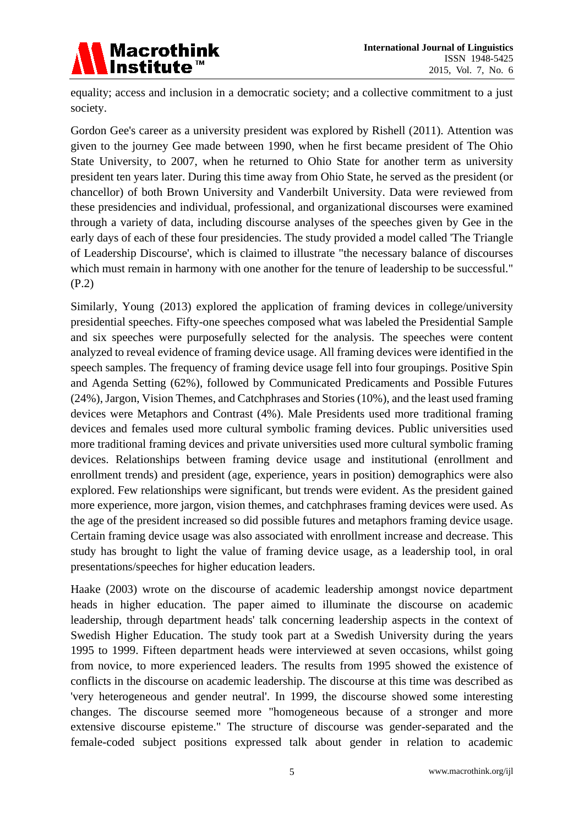

equality; access and inclusion in a democratic society; and a collective commitment to a just society.

Gordon Gee's career as a university president was explored by Rishell (2011). Attention was given to the journey Gee made between 1990, when he first became president of The Ohio State University, to 2007, when he returned to Ohio State for another term as university president ten years later. During this time away from Ohio State, he served as the president (or chancellor) of both Brown University and Vanderbilt University. Data were reviewed from these presidencies and individual, professional, and organizational discourses were examined through a variety of data, including discourse analyses of the speeches given by Gee in the early days of each of these four presidencies. The study provided a model called 'The Triangle of Leadership Discourse', which is claimed to illustrate "the necessary balance of discourses which must remain in harmony with one another for the tenure of leadership to be successful." (P.2)

Similarly, Young (2013) explored the application of framing devices in college/university presidential speeches. Fifty-one speeches composed what was labeled the Presidential Sample and six speeches were purposefully selected for the analysis. The speeches were content analyzed to reveal evidence of framing device usage. All framing devices were identified in the speech samples. The frequency of framing device usage fell into four groupings. Positive Spin and Agenda Setting (62%), followed by Communicated Predicaments and Possible Futures (24%), Jargon, Vision Themes, and Catchphrases and Stories (10%), and the least used framing devices were Metaphors and Contrast (4%). Male Presidents used more traditional framing devices and females used more cultural symbolic framing devices. Public universities used more traditional framing devices and private universities used more cultural symbolic framing devices. Relationships between framing device usage and institutional (enrollment and enrollment trends) and president (age, experience, years in position) demographics were also explored. Few relationships were significant, but trends were evident. As the president gained more experience, more jargon, vision themes, and catchphrases framing devices were used. As the age of the president increased so did possible futures and metaphors framing device usage. Certain framing device usage was also associated with enrollment increase and decrease. This study has brought to light the value of framing device usage, as a leadership tool, in oral presentations/speeches for higher education leaders.

Haake (2003) wrote on the discourse of academic leadership amongst novice department heads in higher education. The paper aimed to illuminate the discourse on academic leadership, through department heads' talk concerning leadership aspects in the context of Swedish Higher Education. The study took part at a Swedish University during the years 1995 to 1999. Fifteen department heads were interviewed at seven occasions, whilst going from novice, to more experienced leaders. The results from 1995 showed the existence of conflicts in the discourse on academic leadership. The discourse at this time was described as 'very heterogeneous and gender neutral'. In 1999, the discourse showed some interesting changes. The discourse seemed more "homogeneous because of a stronger and more extensive discourse episteme." The structure of discourse was gender-separated and the female-coded subject positions expressed talk about gender in relation to academic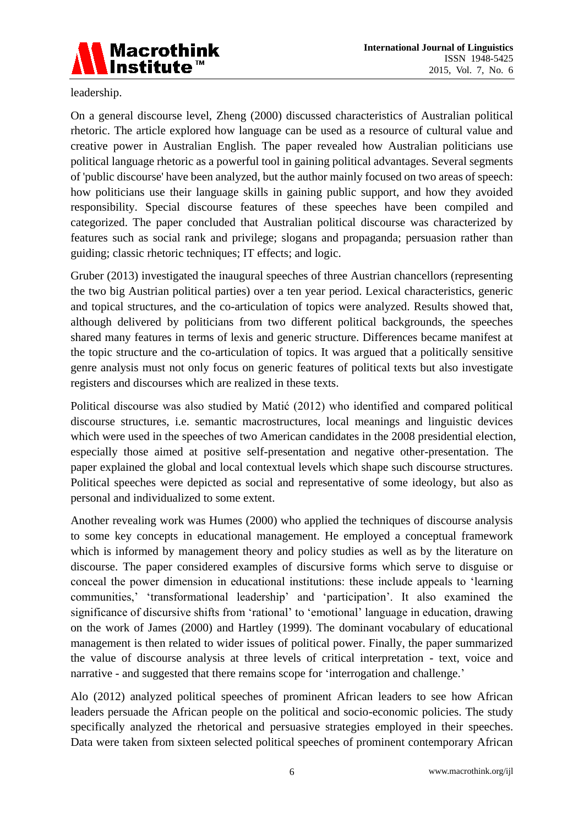

leadership.

On a general discourse level, Zheng (2000) discussed characteristics of Australian political rhetoric. The article explored how language can be used as a resource of cultural value and creative power in Australian English. The paper revealed how Australian politicians use political language rhetoric as a powerful tool in gaining political advantages. Several segments of 'public discourse' have been analyzed, but the author mainly focused on two areas of speech: how politicians use their language skills in gaining public support, and how they avoided responsibility. Special discourse features of these speeches have been compiled and categorized. The paper concluded that Australian political discourse was characterized by features such as social rank and privilege; slogans and propaganda; persuasion rather than guiding; classic rhetoric techniques; IT effects; and logic.

Gruber (2013) investigated the inaugural speeches of three Austrian chancellors (representing the two big Austrian political parties) over a ten year period. Lexical characteristics, generic and topical structures, and the co-articulation of topics were analyzed. Results showed that, although delivered by politicians from two different political backgrounds, the speeches shared many features in terms of lexis and generic structure. Differences became manifest at the topic structure and the co-articulation of topics. It was argued that a politically sensitive genre analysis must not only focus on generic features of political texts but also investigate registers and discourses which are realized in these texts.

Political discourse was also studied by Matić (2012) who identified and compared political discourse structures, i.e. semantic macrostructures, local meanings and linguistic devices which were used in the speeches of two American candidates in the 2008 presidential election, especially those aimed at positive self-presentation and negative other-presentation. The paper explained the global and local contextual levels which shape such discourse structures. Political speeches were depicted as social and representative of some ideology, but also as personal and individualized to some extent.

Another revealing work was Humes (2000) who applied the techniques of discourse analysis to some key concepts in educational management. He employed a conceptual framework which is informed by management theory and policy studies as well as by the literature on discourse. The paper considered examples of discursive forms which serve to disguise or conceal the power dimension in educational institutions: these include appeals to 'learning communities,' 'transformational leadership' and 'participation'. It also examined the significance of discursive shifts from 'rational' to 'emotional' language in education, drawing on the work of James (2000) and Hartley (1999). The dominant vocabulary of educational management is then related to wider issues of political power. Finally, the paper summarized the value of discourse analysis at three levels of critical interpretation - text, voice and narrative - and suggested that there remains scope for 'interrogation and challenge.'

Alo (2012) analyzed political speeches of prominent African leaders to see how African leaders persuade the African people on the political and socio-economic policies. The study specifically analyzed the rhetorical and persuasive strategies employed in their speeches. Data were taken from sixteen selected political speeches of prominent contemporary African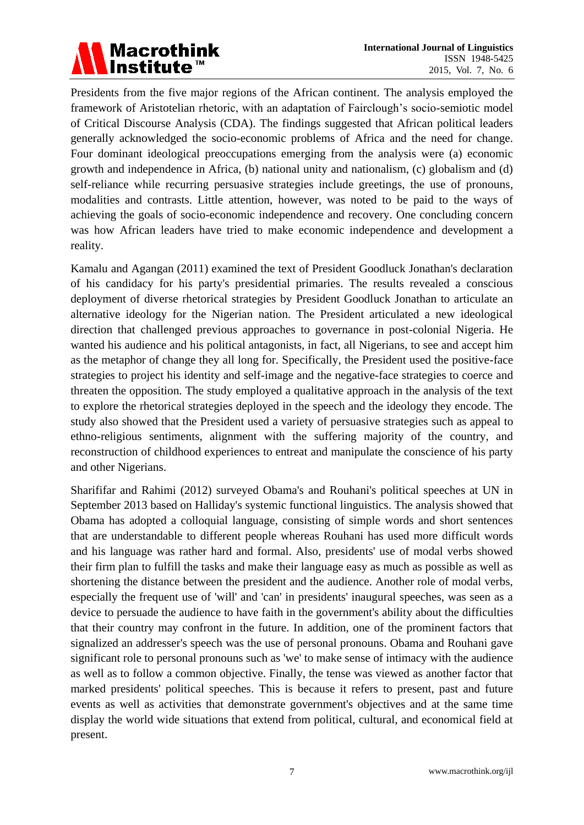

Presidents from the five major regions of the African continent. The analysis employed the framework of Aristotelian rhetoric, with an adaptation of Fairclough's socio-semiotic model of Critical Discourse Analysis (CDA). The findings suggested that African political leaders generally acknowledged the socio-economic problems of Africa and the need for change. Four dominant ideological preoccupations emerging from the analysis were (a) economic growth and independence in Africa, (b) national unity and nationalism, (c) globalism and (d) self-reliance while recurring persuasive strategies include greetings, the use of pronouns, modalities and contrasts. Little attention, however, was noted to be paid to the ways of achieving the goals of socio-economic independence and recovery. One concluding concern was how African leaders have tried to make economic independence and development a reality.

Kamalu and Agangan (2011) examined the text of President Goodluck Jonathan's declaration of his candidacy for his party's presidential primaries. The results revealed a conscious deployment of diverse rhetorical strategies by President Goodluck Jonathan to articulate an alternative ideology for the Nigerian nation. The President articulated a new ideological direction that challenged previous approaches to governance in post-colonial Nigeria. He wanted his audience and his political antagonists, in fact, all Nigerians, to see and accept him as the metaphor of change they all long for. Specifically, the President used the positive-face strategies to project his identity and self-image and the negative-face strategies to coerce and threaten the opposition. The study employed a qualitative approach in the analysis of the text to explore the rhetorical strategies deployed in the speech and the ideology they encode. The study also showed that the President used a variety of persuasive strategies such as appeal to ethno-religious sentiments, alignment with the suffering majority of the country, and reconstruction of childhood experiences to entreat and manipulate the conscience of his party and other Nigerians.

Sharififar and Rahimi (2012) surveyed Obama's and Rouhani's political speeches at UN in September 2013 based on Halliday's systemic functional linguistics. The analysis showed that Obama has adopted a colloquial language, consisting of simple words and short sentences that are understandable to different people whereas Rouhani has used more difficult words and his language was rather hard and formal. Also, presidents' use of modal verbs showed their firm plan to fulfill the tasks and make their language easy as much as possible as well as shortening the distance between the president and the audience. Another role of modal verbs, especially the frequent use of 'will' and 'can' in presidents' inaugural speeches, was seen as a device to persuade the audience to have faith in the government's ability about the difficulties that their country may confront in the future. In addition, one of the prominent factors that signalized an addresser's speech was the use of personal pronouns. Obama and Rouhani gave significant role to personal pronouns such as 'we' to make sense of intimacy with the audience as well as to follow a common objective. Finally, the tense was viewed as another factor that marked presidents' political speeches. This is because it refers to present, past and future events as well as activities that demonstrate government's objectives and at the same time display the world wide situations that extend from political, cultural, and economical field at present.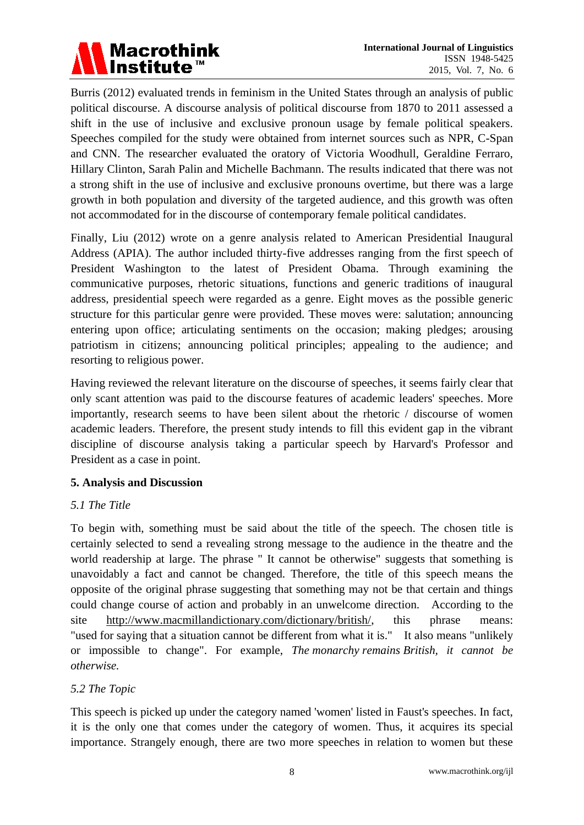

Burris (2012) evaluated trends in feminism in the United States through an analysis of public political discourse. A discourse analysis of political discourse from 1870 to 2011 assessed a shift in the use of inclusive and exclusive pronoun usage by female political speakers. Speeches compiled for the study were obtained from internet sources such as NPR, C-Span and CNN. The researcher evaluated the oratory of Victoria Woodhull, Geraldine Ferraro, Hillary Clinton, Sarah Palin and Michelle Bachmann. The results indicated that there was not a strong shift in the use of inclusive and exclusive pronouns overtime, but there was a large growth in both population and diversity of the targeted audience, and this growth was often not accommodated for in the discourse of contemporary female political candidates.

Finally, Liu (2012) wrote on a genre analysis related to American Presidential Inaugural Address (APIA). The author included thirty-five addresses ranging from the first speech of President Washington to the latest of President Obama. Through examining the communicative purposes, rhetoric situations, functions and generic traditions of inaugural address, presidential speech were regarded as a genre. Eight moves as the possible generic structure for this particular genre were provided. These moves were: salutation; announcing entering upon office; articulating sentiments on the occasion; making pledges; arousing patriotism in citizens; announcing political principles; appealing to the audience; and resorting to religious power.

Having reviewed the relevant literature on the discourse of speeches, it seems fairly clear that only scant attention was paid to the discourse features of academic leaders' speeches. More importantly, research seems to have been silent about the rhetoric / discourse of women academic leaders. Therefore, the present study intends to fill this evident gap in the vibrant discipline of discourse analysis taking a particular speech by Harvard's Professor and President as a case in point.

#### **5. Analysis and Discussion**

#### *5.1 The Title*

To begin with, something must be said about the title of the speech. The chosen title is certainly selected to send a revealing strong message to the audience in the theatre and the world readership at large. The phrase " It cannot be otherwise" suggests that something is unavoidably a fact and cannot be changed. Therefore, the title of this speech means the opposite of the original phrase suggesting that something may not be that certain and things could change course of action and probably in an unwelcome direction. According to the site [http://www.macmillandictionary.com/dictionary/british/,](http://www.macmillandictionary.com/dictionary/british/) this phrase means: ["used](http://www.macmillandictionary.com/dictionary/british/used) for [saying](http://www.macmillandictionary.com/dictionary/british/saying) that a [situation](http://www.macmillandictionary.com/dictionary/british/situation) cannot be [different](http://www.macmillandictionary.com/dictionary/british/different) from what it is." It also means "unlikely or impossible to change". For example, *The [monarchy](http://www.macmillandictionary.com/dictionary/british/monarchy) [remains](http://www.macmillandictionary.com/dictionary/british/remains) British, it cannot be otherwise.*

#### *5.2 The Topic*

This speech is picked up under the category named 'women' listed in Faust's speeches. In fact, it is the only one that comes under the category of women. Thus, it acquires its special importance. Strangely enough, there are two more speeches in relation to women but these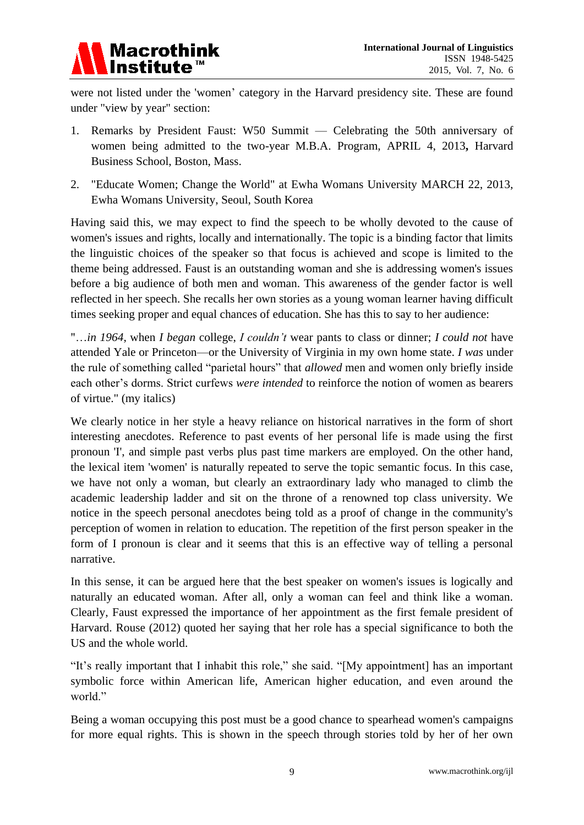

were not listed under the 'women' category in the Harvard presidency site. These are found under "view by year" section:

- 1. Remarks by President Faust: W50 Summit Celebrating the 50th anniversary of women being admitted to the two-year M.B.A. Program, APRIL 4, 2013**,** Harvard Business School, Boston, Mass.
- 2. "Educate Women; Change the World" at Ewha Womans University MARCH 22, 2013, Ewha Womans University, Seoul, South Korea

Having said this, we may expect to find the speech to be wholly devoted to the cause of women's issues and rights, locally and internationally. The topic is a binding factor that limits the linguistic choices of the speaker so that focus is achieved and scope is limited to the theme being addressed. Faust is an outstanding woman and she is addressing women's issues before a big audience of both men and woman. This awareness of the gender factor is well reflected in her speech. She recalls her own stories as a young woman learner having difficult times seeking proper and equal chances of education. She has this to say to her audience:

"…*in 1964*, when *I began* college, *I couldn't* wear pants to class or dinner; *I could not* have attended Yale or Princeton—or the University of Virginia in my own home state. *I was* under the rule of something called "parietal hours" that *allowed* men and women only briefly inside each other's dorms. Strict curfews *were intended* to reinforce the notion of women as bearers of virtue." (my italics)

We clearly notice in her style a heavy reliance on historical narratives in the form of short interesting anecdotes. Reference to past events of her personal life is made using the first pronoun 'I', and simple past verbs plus past time markers are employed. On the other hand, the lexical item 'women' is naturally repeated to serve the topic semantic focus. In this case, we have not only a woman, but clearly an extraordinary lady who managed to climb the academic leadership ladder and sit on the throne of a renowned top class university. We notice in the speech personal anecdotes being told as a proof of change in the community's perception of women in relation to education. The repetition of the first person speaker in the form of I pronoun is clear and it seems that this is an effective way of telling a personal narrative.

In this sense, it can be argued here that the best speaker on women's issues is logically and naturally an educated woman. After all, only a woman can feel and think like a woman. Clearly, Faust expressed the importance of her appointment as the first female president of Harvard. Rouse (2012) quoted her saying that her role has a special significance to both the US and the whole world.

"It's really important that I inhabit this role," she said. "[My appointment] has an important symbolic force within American life, American higher education, and even around the world"

Being a woman occupying this post must be a good chance to spearhead women's campaigns for more equal rights. This is shown in the speech through stories told by her of her own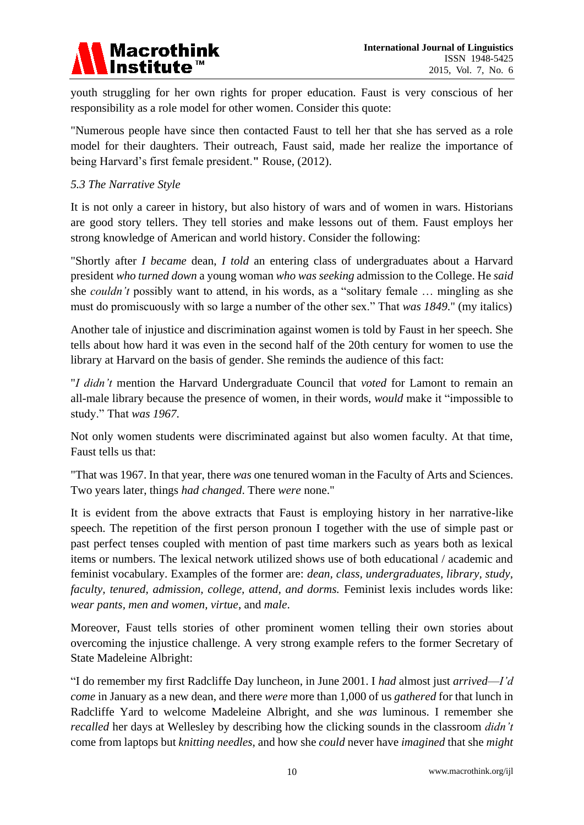

youth struggling for her own rights for proper education. Faust is very conscious of her responsibility as a role model for other women. Consider this quote:

"Numerous people have since then contacted Faust to tell her that she has served as a role model for their daughters. Their outreach, Faust said, made her realize the importance of being Harvard's first female president.**"** Rouse, (2012).

#### *5.3 The Narrative Style*

It is not only a career in history, but also history of wars and of women in wars. Historians are good story tellers. They tell stories and make lessons out of them. Faust employs her strong knowledge of American and world history. Consider the following:

"Shortly after *I became* dean, *I told* an entering class of undergraduates about a Harvard president *who turned down* a young woman *who was seeking* admission to the College. He *said* she *couldn't* possibly want to attend, in his words, as a "solitary female … mingling as she must do promiscuously with so large a number of the other sex." That *was 1849*." (my italics)

Another tale of injustice and discrimination against women is told by Faust in her speech. She tells about how hard it was even in the second half of the 20th century for women to use the library at Harvard on the basis of gender. She reminds the audience of this fact:

"*I didn't* mention the Harvard Undergraduate Council that *voted* for Lamont to remain an all-male library because the presence of women, in their words, *would* make it "impossible to study." That *was 1967*.

Not only women students were discriminated against but also women faculty. At that time, Faust tells us that:

"That was 1967. In that year, there *was* one tenured woman in the Faculty of Arts and Sciences. Two years later, things *had changed*. There *were* none."

It is evident from the above extracts that Faust is employing history in her narrative-like speech. The repetition of the first person pronoun I together with the use of simple past or past perfect tenses coupled with mention of past time markers such as years both as lexical items or numbers. The lexical network utilized shows use of both educational / academic and feminist vocabulary. Examples of the former are: *dean, class, undergraduates, library, study, faculty, tenured, admission, college, attend, and dorms. Feminist lexis includes words like: wear pants, men and women, virtue*, and *male*.

Moreover, Faust tells stories of other prominent women telling their own stories about overcoming the injustice challenge. A very strong example refers to the former Secretary of State Madeleine Albright:

"I do remember my first Radcliffe Day luncheon, in June 2001. I *had* almost just *arrived*—*I'd come* in January as a new dean, and there *were* more than 1,000 of us *gathered* for that lunch in Radcliffe Yard to welcome Madeleine Albright, and she *was* luminous. I remember she *recalled* her days at Wellesley by describing how the clicking sounds in the classroom *didn't* come from laptops but *knitting needles*, and how she *could* never have *imagined* that she *might*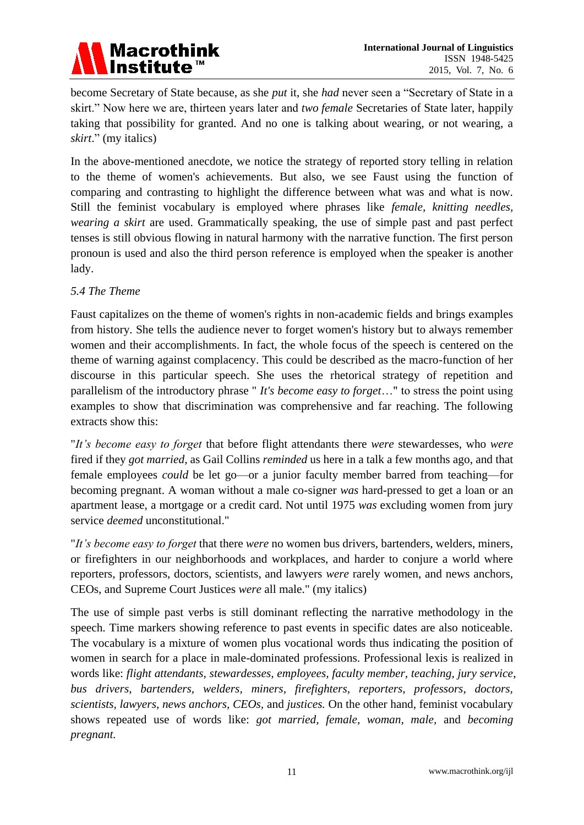

become Secretary of State because, as she *put* it, she *had* never seen a "Secretary of State in a skirt." Now here we are, thirteen years later and *two female* Secretaries of State later, happily taking that possibility for granted. And no one is talking about wearing, or not wearing, a *skirt*." (my italics)

In the above-mentioned anecdote, we notice the strategy of reported story telling in relation to the theme of women's achievements. But also, we see Faust using the function of comparing and contrasting to highlight the difference between what was and what is now. Still the feminist vocabulary is employed where phrases like *female, knitting needles, wearing a skirt* are used. Grammatically speaking, the use of simple past and past perfect tenses is still obvious flowing in natural harmony with the narrative function. The first person pronoun is used and also the third person reference is employed when the speaker is another lady.

#### *5.4 The Theme*

Faust capitalizes on the theme of women's rights in non-academic fields and brings examples from history. She tells the audience never to forget women's history but to always remember women and their accomplishments. In fact, the whole focus of the speech is centered on the theme of warning against complacency. This could be described as the macro-function of her discourse in this particular speech. She uses the rhetorical strategy of repetition and parallelism of the introductory phrase " *It's become easy to forget*…" to stress the point using examples to show that discrimination was comprehensive and far reaching. The following extracts show this:

"*It's become easy to forget* that before flight attendants there *were* stewardesses, who *were*  fired if they *got married*, as Gail Collins *reminded* us here in a talk a few months ago, and that female employees *could* be let go—or a junior faculty member barred from teaching—for becoming pregnant. A woman without a male co-signer *was* hard-pressed to get a loan or an apartment lease, a mortgage or a credit card. Not until 1975 *was* excluding women from jury service *deemed* unconstitutional."

"*It's become easy to forget* that there *were* no women bus drivers, bartenders, welders, miners, or firefighters in our neighborhoods and workplaces, and harder to conjure a world where reporters, professors, doctors, scientists, and lawyers *were* rarely women, and news anchors, CEOs, and Supreme Court Justices *were* all male." (my italics)

The use of simple past verbs is still dominant reflecting the narrative methodology in the speech. Time markers showing reference to past events in specific dates are also noticeable. The vocabulary is a mixture of women plus vocational words thus indicating the position of women in search for a place in male-dominated professions. Professional lexis is realized in words like: *flight attendants, stewardesses, employees, faculty member, teaching, jury service*, *bus drivers, bartenders, welders, miners, firefighters, reporters, professors, doctors, scientists, lawyers, news anchors, CEOs,* and *justices.* On the other hand, feminist vocabulary shows repeated use of words like: *got married, female, woman, male,* and *becoming pregnant.*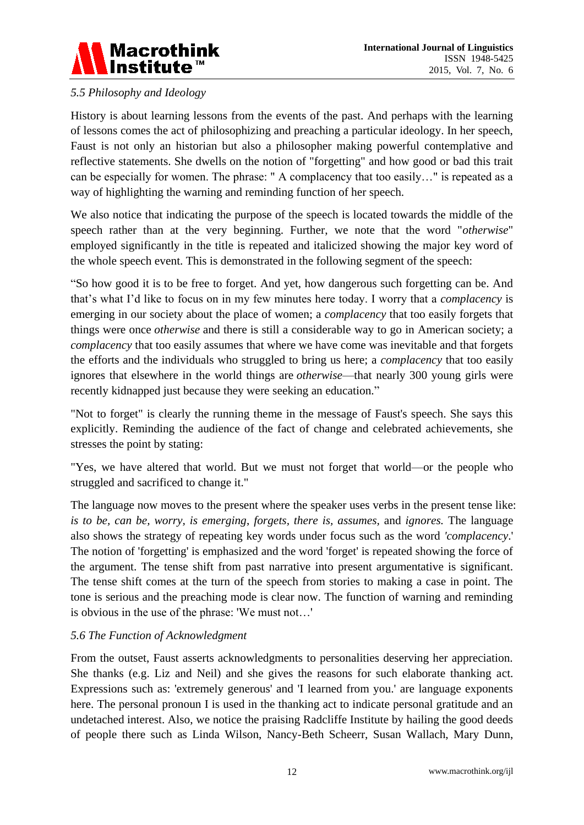

#### *5.5 Philosophy and Ideology*

History is about learning lessons from the events of the past. And perhaps with the learning of lessons comes the act of philosophizing and preaching a particular ideology. In her speech, Faust is not only an historian but also a philosopher making powerful contemplative and reflective statements. She dwells on the notion of "forgetting" and how good or bad this trait can be especially for women. The phrase: " A complacency that too easily…" is repeated as a way of highlighting the warning and reminding function of her speech.

We also notice that indicating the purpose of the speech is located towards the middle of the speech rather than at the very beginning. Further, we note that the word "*otherwise*" employed significantly in the title is repeated and italicized showing the major key word of the whole speech event. This is demonstrated in the following segment of the speech:

"So how good it is to be free to forget. And yet, how dangerous such forgetting can be. And that's what I'd like to focus on in my few minutes here today. I worry that a *complacency* is emerging in our society about the place of women; a *complacency* that too easily forgets that things were once *otherwise* and there is still a considerable way to go in American society; a *complacency* that too easily assumes that where we have come was inevitable and that forgets the efforts and the individuals who struggled to bring us here; a *complacency* that too easily ignores that elsewhere in the world things are *otherwise*—that nearly 300 young girls were recently kidnapped just because they were seeking an education."

"Not to forget" is clearly the running theme in the message of Faust's speech. She says this explicitly. Reminding the audience of the fact of change and celebrated achievements, she stresses the point by stating:

"Yes, we have altered that world. But we must not forget that world—or the people who struggled and sacrificed to change it."

The language now moves to the present where the speaker uses verbs in the present tense like: *is to be, can be, worry, is emerging*, *forgets, there is, assumes,* and *ignores.* The language also shows the strategy of repeating key words under focus such as the word *'complacency*.' The notion of 'forgetting' is emphasized and the word 'forget' is repeated showing the force of the argument. The tense shift from past narrative into present argumentative is significant. The tense shift comes at the turn of the speech from stories to making a case in point. The tone is serious and the preaching mode is clear now. The function of warning and reminding is obvious in the use of the phrase: 'We must not…'

#### *5.6 The Function of Acknowledgment*

From the outset, Faust asserts acknowledgments to personalities deserving her appreciation. She thanks (e.g. Liz and Neil) and she gives the reasons for such elaborate thanking act. Expressions such as: 'extremely generous' and 'I learned from you.' are language exponents here. The personal pronoun I is used in the thanking act to indicate personal gratitude and an undetached interest. Also, we notice the praising Radcliffe Institute by hailing the good deeds of people there such as Linda Wilson, Nancy-Beth Scheerr, Susan Wallach, Mary Dunn,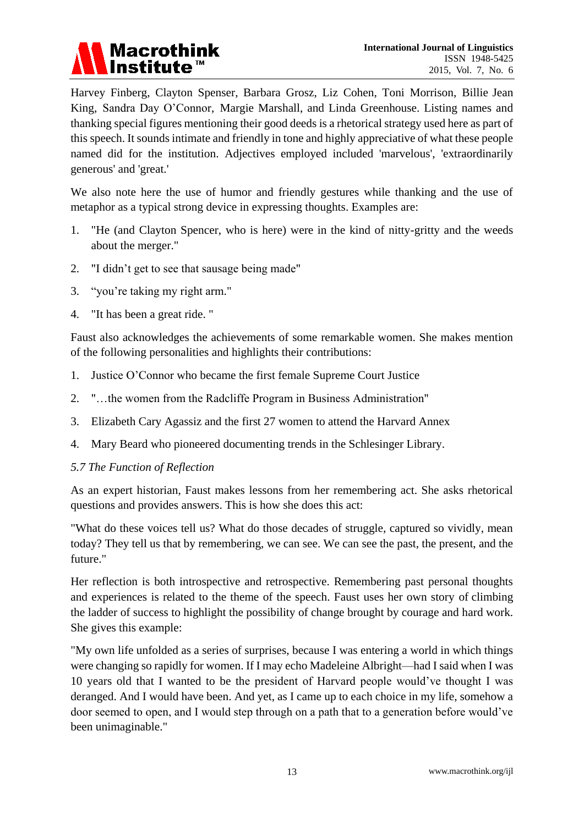### **Macrothink Institute**

Harvey Finberg, Clayton Spenser, Barbara Grosz, Liz Cohen, Toni Morrison, Billie Jean King, Sandra Day O'Connor, Margie Marshall, and Linda Greenhouse. Listing names and thanking special figures mentioning their good deeds is a rhetorical strategy used here as part of this speech. It sounds intimate and friendly in tone and highly appreciative of what these people named did for the institution. Adjectives employed included 'marvelous', 'extraordinarily generous' and 'great.'

We also note here the use of humor and friendly gestures while thanking and the use of metaphor as a typical strong device in expressing thoughts. Examples are:

- 1. "He (and Clayton Spencer, who is here) were in the kind of nitty-gritty and the weeds about the merger."
- 2. "I didn't get to see that sausage being made"
- 3. "you're taking my right arm."
- 4. "It has been a great ride. "

Faust also acknowledges the achievements of some remarkable women. She makes mention of the following personalities and highlights their contributions:

- 1. Justice O'Connor who became the first female Supreme Court Justice
- 2. "…the women from the Radcliffe Program in Business Administration"
- 3. Elizabeth Cary Agassiz and the first 27 women to attend the Harvard Annex
- 4. Mary Beard who pioneered documenting trends in the Schlesinger Library.

#### *5.7 The Function of Reflection*

As an expert historian, Faust makes lessons from her remembering act. She asks rhetorical questions and provides answers. This is how she does this act:

"What do these voices tell us? What do those decades of struggle, captured so vividly, mean today? They tell us that by remembering, we can see. We can see the past, the present, and the future."

Her reflection is both introspective and retrospective. Remembering past personal thoughts and experiences is related to the theme of the speech. Faust uses her own story of climbing the ladder of success to highlight the possibility of change brought by courage and hard work. She gives this example:

"My own life unfolded as a series of surprises, because I was entering a world in which things were changing so rapidly for women. If I may echo Madeleine Albright—had I said when I was 10 years old that I wanted to be the president of Harvard people would've thought I was deranged. And I would have been. And yet, as I came up to each choice in my life, somehow a door seemed to open, and I would step through on a path that to a generation before would've been unimaginable."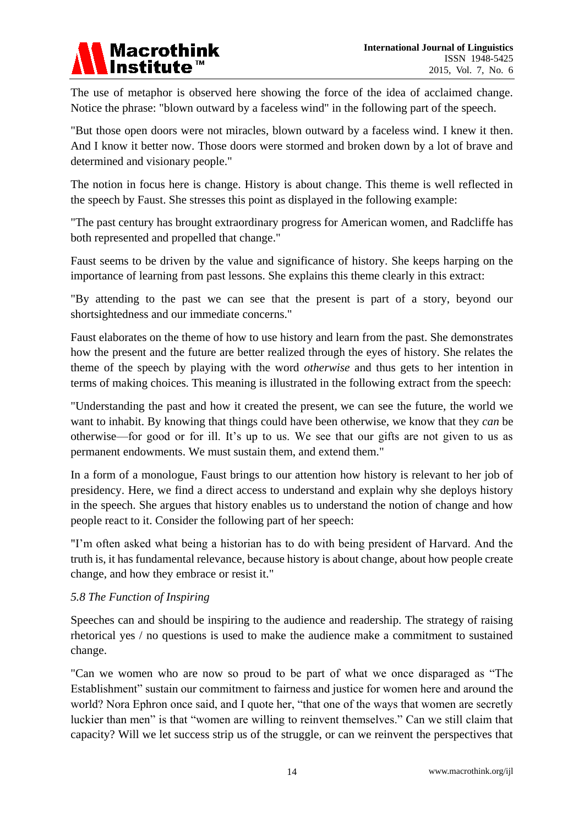

The use of metaphor is observed here showing the force of the idea of acclaimed change. Notice the phrase: "blown outward by a faceless wind" in the following part of the speech.

"But those open doors were not miracles, blown outward by a faceless wind. I knew it then. And I know it better now. Those doors were stormed and broken down by a lot of brave and determined and visionary people."

The notion in focus here is change. History is about change. This theme is well reflected in the speech by Faust. She stresses this point as displayed in the following example:

"The past century has brought extraordinary progress for American women, and Radcliffe has both represented and propelled that change."

Faust seems to be driven by the value and significance of history. She keeps harping on the importance of learning from past lessons. She explains this theme clearly in this extract:

"By attending to the past we can see that the present is part of a story, beyond our shortsightedness and our immediate concerns."

Faust elaborates on the theme of how to use history and learn from the past. She demonstrates how the present and the future are better realized through the eyes of history. She relates the theme of the speech by playing with the word *otherwise* and thus gets to her intention in terms of making choices. This meaning is illustrated in the following extract from the speech:

"Understanding the past and how it created the present, we can see the future, the world we want to inhabit. By knowing that things could have been otherwise, we know that they *can* be otherwise—for good or for ill. It's up to us. We see that our gifts are not given to us as permanent endowments. We must sustain them, and extend them."

In a form of a monologue, Faust brings to our attention how history is relevant to her job of presidency. Here, we find a direct access to understand and explain why she deploys history in the speech. She argues that history enables us to understand the notion of change and how people react to it. Consider the following part of her speech:

"I'm often asked what being a historian has to do with being president of Harvard. And the truth is, it has fundamental relevance, because history is about change, about how people create change, and how they embrace or resist it."

#### *5.8 The Function of Inspiring*

Speeches can and should be inspiring to the audience and readership. The strategy of raising rhetorical yes / no questions is used to make the audience make a commitment to sustained change.

"Can we women who are now so proud to be part of what we once disparaged as "The Establishment" sustain our commitment to fairness and justice for women here and around the world? Nora Ephron once said, and I quote her, "that one of the ways that women are secretly luckier than men" is that "women are willing to reinvent themselves." Can we still claim that capacity? Will we let success strip us of the struggle, or can we reinvent the perspectives that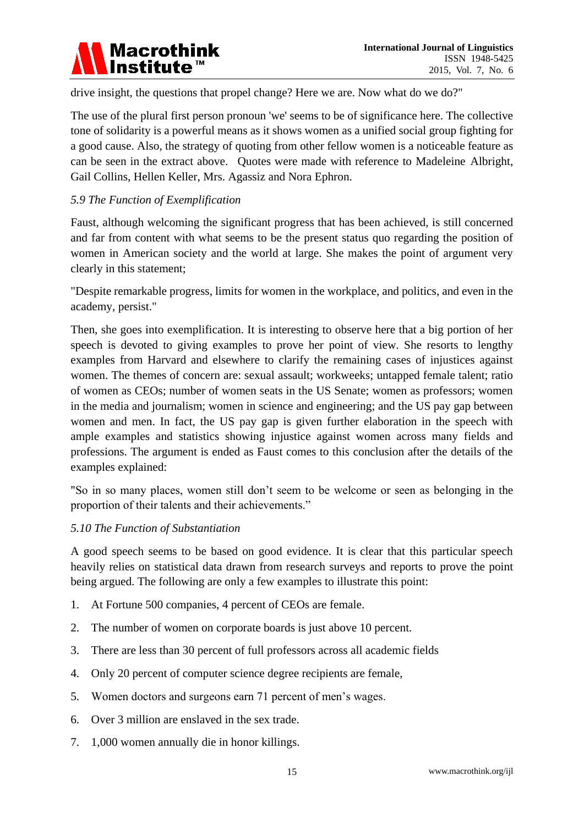

drive insight, the questions that propel change? Here we are. Now what do we do?"

The use of the plural first person pronoun 'we' seems to be of significance here. The collective tone of solidarity is a powerful means as it shows women as a unified social group fighting for a good cause. Also, the strategy of quoting from other fellow women is a noticeable feature as can be seen in the extract above. Quotes were made with reference to Madeleine Albright, Gail Collins, Hellen Keller, Mrs. Agassiz and Nora Ephron.

#### *5.9 The Function of Exemplification*

Faust, although welcoming the significant progress that has been achieved, is still concerned and far from content with what seems to be the present status quo regarding the position of women in American society and the world at large. She makes the point of argument very clearly in this statement;

"Despite remarkable progress, limits for women in the workplace, and politics, and even in the academy, persist."

Then, she goes into exemplification. It is interesting to observe here that a big portion of her speech is devoted to giving examples to prove her point of view. She resorts to lengthy examples from Harvard and elsewhere to clarify the remaining cases of injustices against women. The themes of concern are: sexual assault; workweeks; untapped female talent; ratio of women as CEOs; number of women seats in the US Senate; women as professors; women in the media and journalism; women in science and engineering; and the US pay gap between women and men. In fact, the US pay gap is given further elaboration in the speech with ample examples and statistics showing injustice against women across many fields and professions. The argument is ended as Faust comes to this conclusion after the details of the examples explained:

"So in so many places, women still don't seem to be welcome or seen as belonging in the proportion of their talents and their achievements."

#### *5.10 The Function of Substantiation*

A good speech seems to be based on good evidence. It is clear that this particular speech heavily relies on statistical data drawn from research surveys and reports to prove the point being argued. The following are only a few examples to illustrate this point:

- 1. At Fortune 500 companies, 4 percent of CEOs are female.
- 2. The number of women on corporate boards is just above 10 percent.
- 3. There are less than 30 percent of full professors across all academic fields
- 4. Only 20 percent of computer science degree recipients are female,
- 5. Women doctors and surgeons earn 71 percent of men's wages.
- 6. Over 3 million are enslaved in the sex trade.
- 7. 1,000 women annually die in honor killings.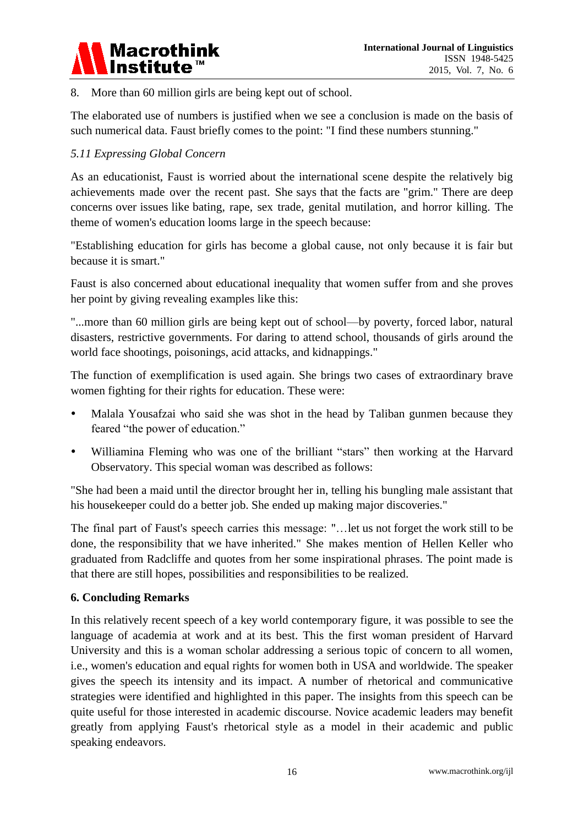

8. More than 60 million girls are being kept out of school.

The elaborated use of numbers is justified when we see a conclusion is made on the basis of such numerical data. Faust briefly comes to the point: "I find these numbers stunning."

#### *5.11 Expressing Global Concern*

As an educationist, Faust is worried about the international scene despite the relatively big achievements made over the recent past. She says that the facts are "grim." There are deep concerns over issues like bating, rape, sex trade, genital mutilation, and horror killing. The theme of women's education looms large in the speech because:

"Establishing education for girls has become a global cause, not only because it is fair but because it is smart."

Faust is also concerned about educational inequality that women suffer from and she proves her point by giving revealing examples like this:

"...more than 60 million girls are being kept out of school—by poverty, forced labor, natural disasters, restrictive governments. For daring to attend school, thousands of girls around the world face shootings, poisonings, acid attacks, and kidnappings."

The function of exemplification is used again. She brings two cases of extraordinary brave women fighting for their rights for education. These were:

- Malala Yousafzai who said she was shot in the head by Taliban gunmen because they feared "the power of education."
- Williamina Fleming who was one of the brilliant "stars" then working at the Harvard Observatory. This special woman was described as follows:

"She had been a maid until the director brought her in, telling his bungling male assistant that his housekeeper could do a better job. She ended up making major discoveries."

The final part of Faust's speech carries this message: "…let us not forget the work still to be done, the responsibility that we have inherited." She makes mention of Hellen Keller who graduated from Radcliffe and quotes from her some inspirational phrases. The point made is that there are still hopes, possibilities and responsibilities to be realized.

#### **6. Concluding Remarks**

In this relatively recent speech of a key world contemporary figure, it was possible to see the language of academia at work and at its best. This the first woman president of Harvard University and this is a woman scholar addressing a serious topic of concern to all women, i.e., women's education and equal rights for women both in USA and worldwide. The speaker gives the speech its intensity and its impact. A number of rhetorical and communicative strategies were identified and highlighted in this paper. The insights from this speech can be quite useful for those interested in academic discourse. Novice academic leaders may benefit greatly from applying Faust's rhetorical style as a model in their academic and public speaking endeavors.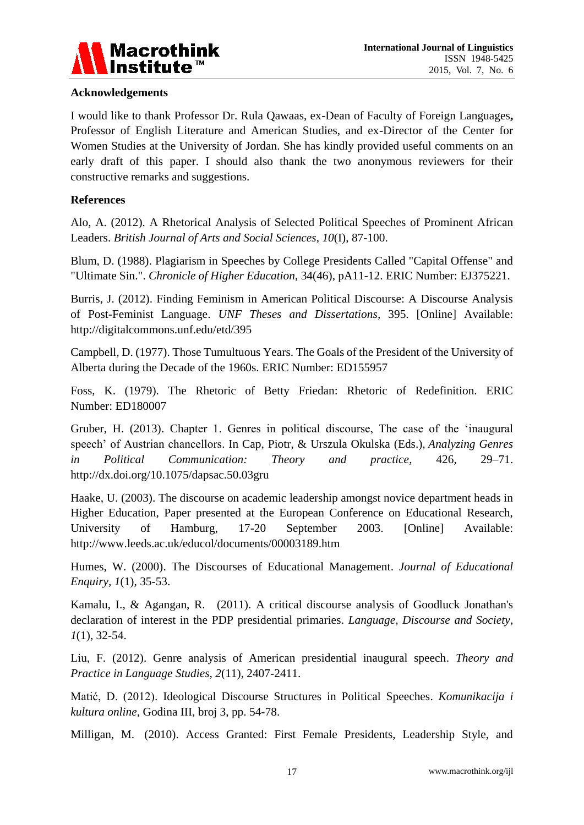

#### **Acknowledgements**

I would like to thank Professor Dr. Rula Qawaas, ex-Dean of Faculty of Foreign Languages**,** Professor of English Literature and American Studies, and ex-Director of the Center for Women Studies at the University of Jordan. She has kindly provided useful comments on an early draft of this paper. I should also thank the two anonymous reviewers for their constructive remarks and suggestions.

#### **References**

Alo, A. (2012). A Rhetorical Analysis of Selected Political Speeches of Prominent African Leaders. *British Journal of Arts and Social Sciences*, *10*(I), 87-100.

Blum, D. (1988). Plagiarism in Speeches by College Presidents Called "Capital Offense" and "Ultimate Sin.". *Chronicle of Higher Education*, 34(46), pA11-12. ERIC Number: EJ375221.

Burris, J. (2012). Finding Feminism in American Political Discourse: A Discourse Analysis of Post-Feminist Language. *UNF Theses and Dissertations,* 395. [Online] Available: http://digitalcommons.unf.edu/etd/395

Campbell, D. (1977). Those Tumultuous Years. The Goals of the President of the University of Alberta during the Decade of the 1960s. ERIC Number: ED155957

Foss, K. (1979). The Rhetoric of Betty Friedan: Rhetoric of Redefinition. ERIC Number: ED180007

Gruber, H. (2013). Chapter 1. Genres in political discourse, The case of the 'inaugural speech' of Austrian chancellors. In Cap, Piotr, & Urszula Okulska (Eds.), *Analyzing Genres in Political Communication: Theory and practice,* 426, 29–71. http://dx.doi.org/10.1075/dapsac.50.03gru

Haake, U. (2003). The discourse on academic leadership amongst novice department heads in Higher Education, Paper presented at the European Conference on Educational Research, University of Hamburg, 17-20 September 2003. [Online] Available: http://www.leeds.ac.uk/educol/documents/00003189.htm

Humes, W. (2000). The Discourses of Educational Management. *Journal of Educational Enquiry, 1*(1), 35-53.

Kamalu, I., & Agangan, R. (2011). A critical discourse analysis of Goodluck Jonathan's declaration of interest in the PDP presidential primaries. *Language, Discourse and Society*, *1*(1), 32-54.

Liu, F. (2012). Genre analysis of American presidential inaugural speech. *Theory and Practice in Language Studies, 2*(11), 2407-2411.

Matić, D. (2012). Ideological Discourse Structures in Political Speeches. *Komunikacija i kultura online,* Godina III, broj 3, pp. 54-78.

Milligan, M. (2010). Access Granted: First Female Presidents, Leadership Style, and